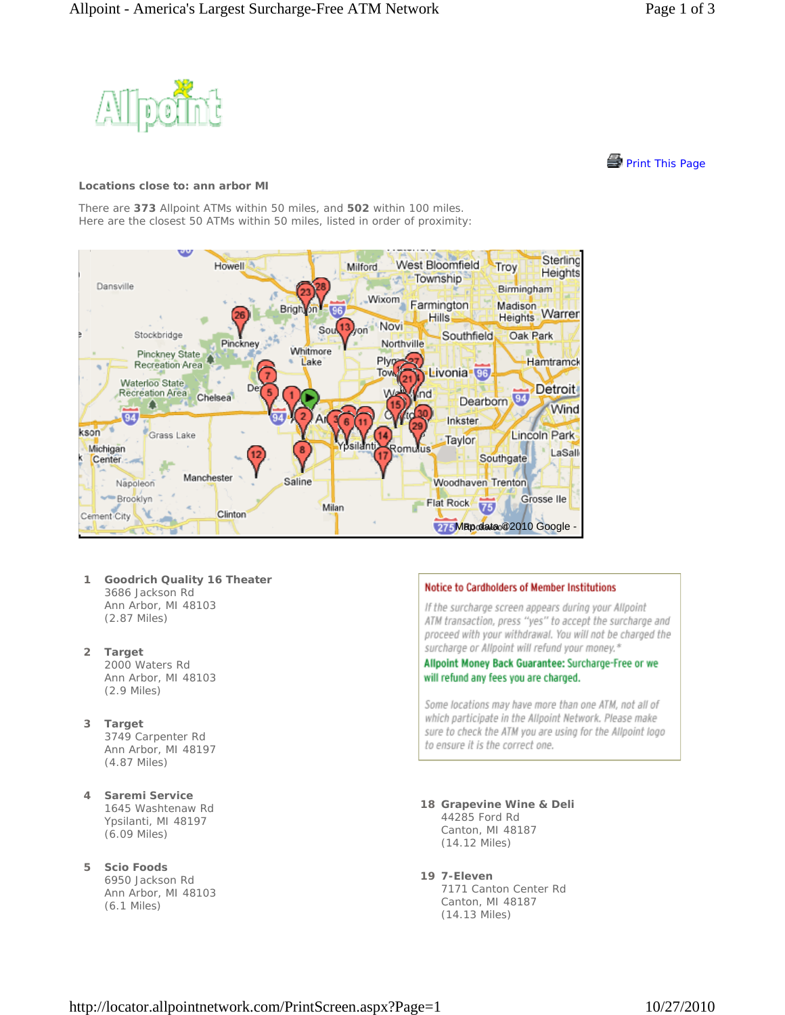



## **Locations close to: ann arbor MI**

There are **373** Allpoint ATMs within 50 miles, and **502** within 100 miles. Here are the closest 50 ATMs within 50 miles, listed in order of proximity:



- **1 Goodrich Quality 16 Theater** 3686 Jackson Rd Ann Arbor, MI 48103 (2.87 Miles)
- **2 Target** 2000 Waters Rd Ann Arbor, MI 48103 (2.9 Miles)
- **3 Target** 3749 Carpenter Rd Ann Arbor, MI 48197 (4.87 Miles)
- **4 Saremi Service** 1645 Washtenaw Rd Ypsilanti, MI 48197 (6.09 Miles)
- **5 Scio Foods** 6950 Jackson Rd Ann Arbor, MI 48103 (6.1 Miles)

## Notice to Cardholders of Member Institutions

If the surcharge screen appears during your Allpoint ATM transaction, press "yes" to accept the surcharge and proceed with your withdrawal. You will not be charged the surcharge or Allpoint will refund your money.\*

Allpoint Money Back Guarantee: Surcharge-Free or we will refund any fees you are charged.

Some locations may have more than one ATM, not all of which participate in the Allpoint Network. Please make sure to check the ATM you are using for the Allpoint logo to ensure it is the correct one.

- **18 Grapevine Wine & Deli** 44285 Ford Rd Canton, MI 48187 (14.12 Miles)
- **19 7-Eleven**

7171 Canton Center Rd Canton, MI 48187 (14.13 Miles)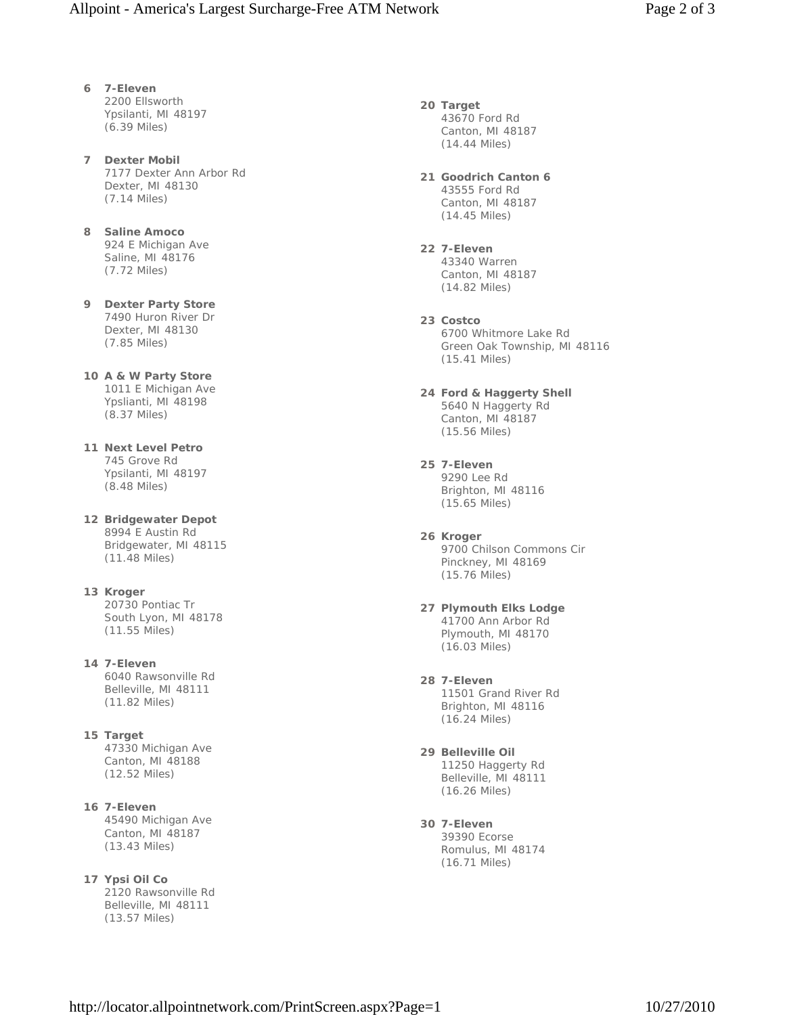- **6 7-Eleven** 2200 Ellsworth Ypsilanti, MI 48197 (6.39 Miles)
- **7 Dexter Mobil** 7177 Dexter Ann Arbor Rd Dexter, MI 48130 (7.14 Miles)
- **8 Saline Amoco** 924 E Michigan Ave Saline, MI 48176 (7.72 Miles)
- **9 Dexter Party Store** 7490 Huron River Dr Dexter, MI 48130 (7.85 Miles)
- **10 A & W Party Store** 1011 E Michigan Ave Ypslianti, MI 48198 (8.37 Miles)
- **11 Next Level Petro** 745 Grove Rd Ypsilanti, MI 48197 (8.48 Miles)
- **12 Bridgewater Depot** 8994 E Austin Rd Bridgewater, MI 48115 (11.48 Miles)
- **13 Kroger** 20730 Pontiac Tr South Lyon, MI 48178 (11.55 Miles)
- **14 7-Eleven** 6040 Rawsonville Rd Belleville, MI 48111 (11.82 Miles)
- **15 Target** 47330 Michigan Ave Canton, MI 48188 (12.52 Miles)
- **16 7-Eleven** 45490 Michigan Ave Canton, MI 48187 (13.43 Miles)
- **17 Ypsi Oil Co** 2120 Rawsonville Rd Belleville, MI 48111 (13.57 Miles)
- **20 Target** 43670 Ford Rd Canton, MI 48187 (14.44 Miles)
- **21 Goodrich Canton 6** 43555 Ford Rd Canton, MI 48187 (14.45 Miles)
- **22 7-Eleven** 43340 Warren Canton, MI 48187 (14.82 Miles)
- **23 Costco** 6700 Whitmore Lake Rd Green Oak Township, MI 48116 (15.41 Miles)
- **24 Ford & Haggerty Shell** 5640 N Haggerty Rd Canton, MI 48187 (15.56 Miles)
- **25 7-Eleven** 9290 Lee Rd Brighton, MI 48116 (15.65 Miles)
- **26 Kroger** 9700 Chilson Commons Cir Pinckney, MI 48169 (15.76 Miles)
- **27 Plymouth Elks Lodge** 41700 Ann Arbor Rd Plymouth, MI 48170 (16.03 Miles)
- **28 7-Eleven** 11501 Grand River Rd Brighton, MI 48116 (16.24 Miles)
- **29 Belleville Oil** 11250 Haggerty Rd Belleville, MI 48111 (16.26 Miles)
- **30 7-Eleven** 39390 Ecorse Romulus, MI 48174 (16.71 Miles)